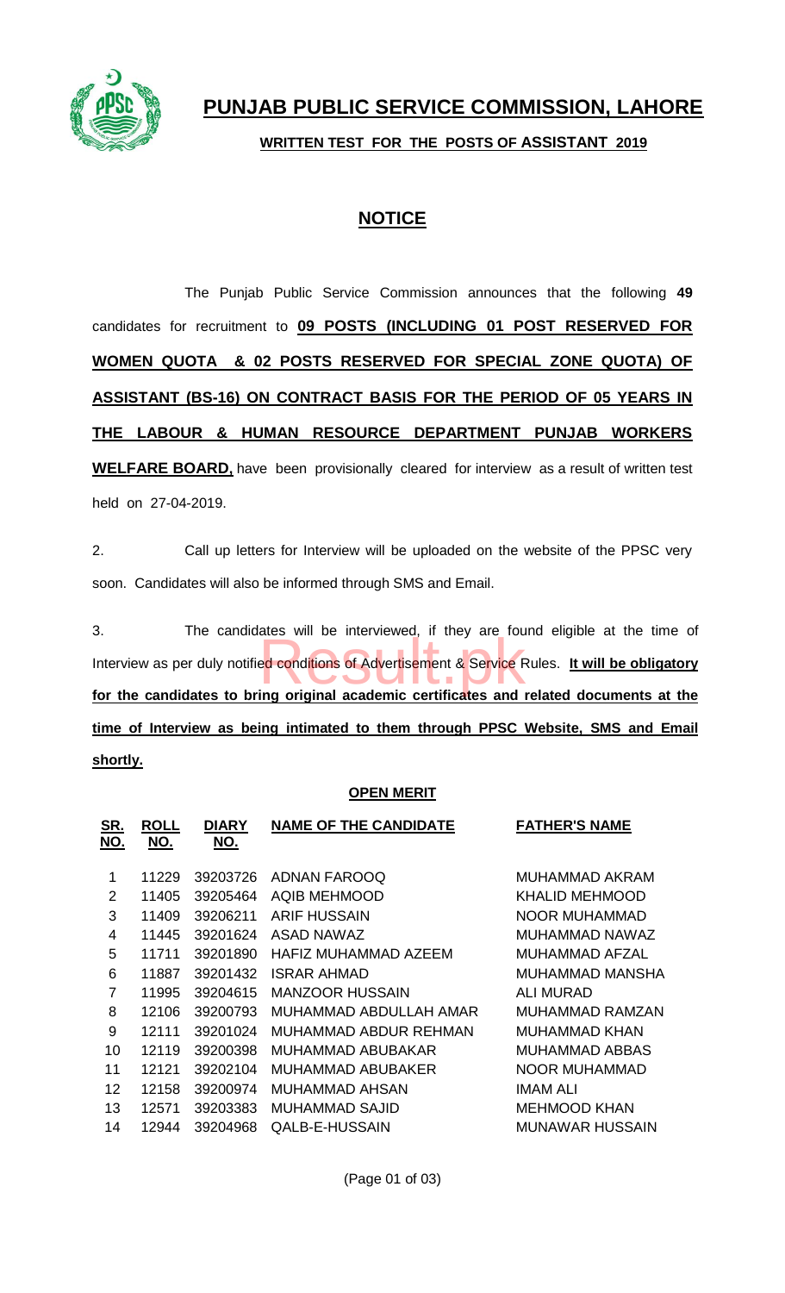

## **NOTICE**

The Punjab Public Service Commission announces that the following **49** candidates for recruitment to **09 POSTS (INCLUDING 01 POST RESERVED FOR WOMEN QUOTA & 02 POSTS RESERVED FOR SPECIAL ZONE QUOTA) OF ASSISTANT (BS-16) ON CONTRACT BASIS FOR THE PERIOD OF 05 YEARS IN THE LABOUR & HUMAN RESOURCE DEPARTMENT PUNJAB WORKERS WELFARE BOARD,** have been provisionally cleared for interview as a result of written test held on 27-04-2019.

2. Call up letters for Interview will be uploaded on the website of the PPSC very soon. Candidates will also be informed through SMS and Email.

3. The candidates will be interviewed, if they are found eligible at the time of Interview as per duly notified conditions of Advertisement & Service Rules. **It will be obligatory for the candidates to bring original academic certificates and related documents at the time of Interview as being intimated to them through PPSC Website, SMS and Email shortly.** ales will be linet viewed, it they are too

### **OPEN MERIT**

| <u>SR.</u><br>NO. | <b>ROLL</b><br>NO. | <b>DIARY</b><br>NO. | <b>NAME OF THE CANDIDATE</b> | <b>FATHER'S NAME</b> |
|-------------------|--------------------|---------------------|------------------------------|----------------------|
| 1                 | 11229              | 39203726            | ADNAN FAROOQ                 | MUHAMMAD AKRAM       |
| 2                 | 11405              | 39205464            | <b>AQIB MEHMOOD</b>          | KHALID MEHMOOD       |
| 3                 | 11409              | 39206211            | <b>ARIF HUSSAIN</b>          | <b>NOOR MUHAMMAD</b> |
| 4                 | 11445              | 39201624            | ASAD NAWAZ                   | MUHAMMAD NAWAZ       |
| 5                 | 11711              | 39201890            | HAFIZ MUHAMMAD AZEEM         | MUHAMMAD AFZAL       |
| 6                 | 11887              | 39201432            | ISRAR AHMAD                  | MUHAMMAD MANSHA      |
| 7                 | 11995              | 39204615            | <b>MANZOOR HUSSAIN</b>       | ALI MURAD            |
| 8                 | 12106              | 39200793            | MUHAMMAD ABDULLAH AMAR       | MUHAMMAD RAMZAN      |
| 9                 | 12111              | 39201024            | MUHAMMAD ABDUR REHMAN        | MUHAMMAD KHAN        |
| 10                | 12119              | 39200398            | MUHAMMAD ABUBAKAR            | MUHAMMAD ABBAS       |
| 11                | 12121              | 39202104            | MUHAMMAD ABUBAKER            | NOOR MUHAMMAD        |
| 12                | 12158              | 39200974            | MUHAMMAD AHSAN               | IMAM ALI             |
| 13                | 12571              | 39203383            | MUHAMMAD SAJID               | <b>MEHMOOD KHAN</b>  |
| 14                | 12944              | 39204968            | QALB-E-HUSSAIN               | MUNAWAR HUSSAIN      |
|                   |                    |                     |                              |                      |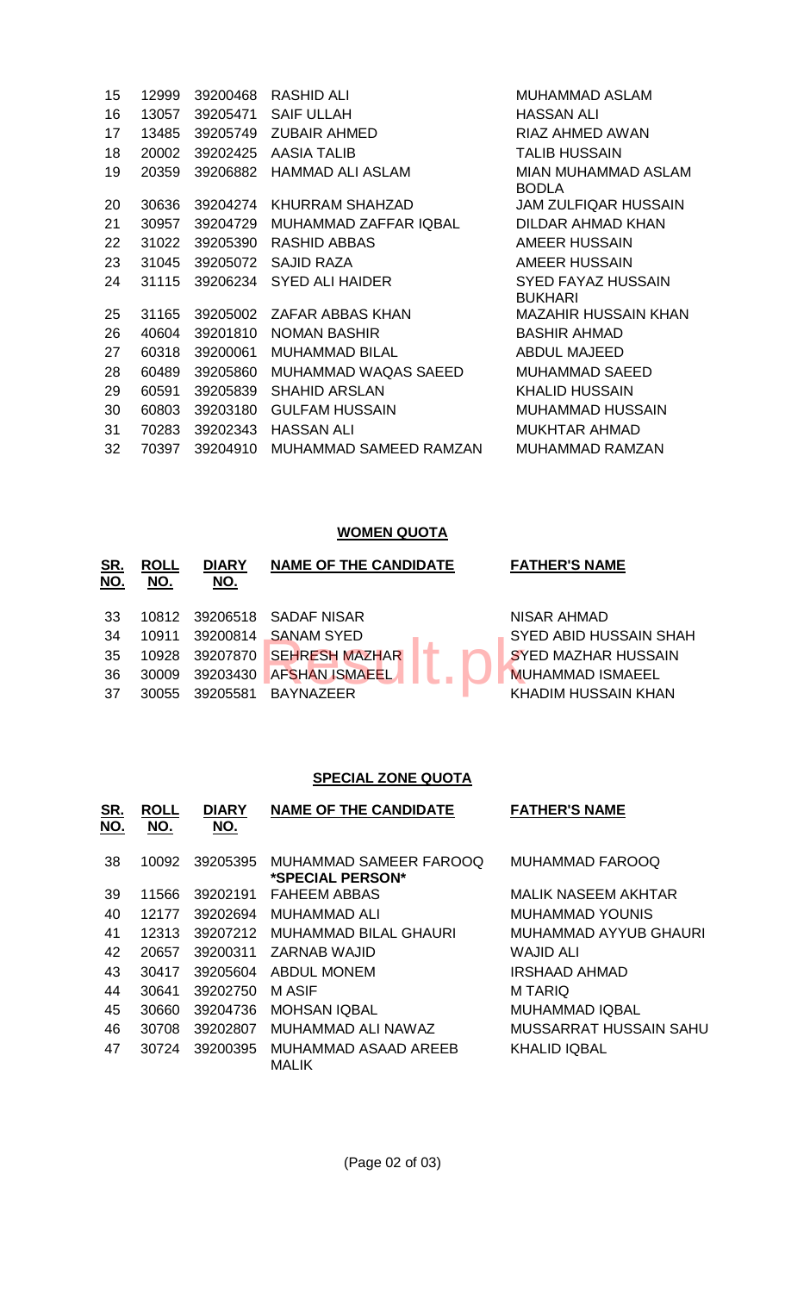| 15 | 12999 | 39200468 | <b>RASHID ALI</b>      | <b>MUHAMMAD ASLAM</b>                      |
|----|-------|----------|------------------------|--------------------------------------------|
| 16 | 13057 | 39205471 | <b>SAIF ULLAH</b>      | <b>HASSAN ALI</b>                          |
| 17 | 13485 | 39205749 | <b>ZUBAIR AHMED</b>    | <b>RIAZ AHMED AWAN</b>                     |
| 18 | 20002 | 39202425 | <b>AASIA TALIB</b>     | <b>TALIB HUSSAIN</b>                       |
| 19 | 20359 | 39206882 | HAMMAD ALI ASLAM       | <b>MIAN MUHAMMAD ASLAM</b><br><b>BODLA</b> |
| 20 | 30636 | 39204274 | <b>KHURRAM SHAHZAD</b> | <b>JAM ZULFIQAR HUSSAIN</b>                |
| 21 | 30957 | 39204729 | MUHAMMAD ZAFFAR IQBAL  | DILDAR AHMAD KHAN                          |
| 22 | 31022 | 39205390 | <b>RASHID ABBAS</b>    | <b>AMEER HUSSAIN</b>                       |
| 23 | 31045 | 39205072 | <b>SAJID RAZA</b>      | <b>AMEER HUSSAIN</b>                       |
| 24 | 31115 | 39206234 | SYED ALI HAIDER        | SYED FAYAZ HUSSAIN<br><b>BUKHARI</b>       |
| 25 | 31165 | 39205002 | ZAFAR ABBAS KHAN       | MAZAHIR HUSSAIN KHAN                       |
| 26 | 40604 | 39201810 | <b>NOMAN BASHIR</b>    | <b>BASHIR AHMAD</b>                        |
| 27 | 60318 | 39200061 | <b>MUHAMMAD BILAL</b>  | <b>ABDUL MAJEED</b>                        |
| 28 | 60489 | 39205860 | MUHAMMAD WAQAS SAEED   | MUHAMMAD SAEED                             |
| 29 | 60591 | 39205839 | <b>SHAHID ARSLAN</b>   | <b>KHALID HUSSAIN</b>                      |
| 30 | 60803 | 39203180 | <b>GULFAM HUSSAIN</b>  | MUHAMMAD HUSSAIN                           |
| 31 | 70283 | 39202343 | <b>HASSAN ALI</b>      | <b>MUKHTAR AHMAD</b>                       |
| 32 | 70397 | 39204910 | MUHAMMAD SAMEED RAMZAN | MUHAMMAD RAMZAN                            |
|    |       |          |                        |                                            |

#### **WOMEN QUOTA**

| 33<br>10812 39206518 SADAF NISAR<br>NISAR AHMAD<br>34<br>39200814<br><b>SANAM SYED</b><br><b>SYED ABID HUSSAIN SHAH</b><br>10911<br><b>SEHRESH MAZHAR</b><br>35<br><b>SYED MAZHAR HUSSAIN</b><br>39207870<br>10928<br><b>AFSHAN ISMAEEL</b><br>36<br><b>MUHAMMAD ISMAEEL</b><br>39203430<br>30009<br><b>KHADIM HUSSAIN KHAN</b><br>-37<br>39205581<br><b>BAYNAZEER</b><br>30055 |  |
|---------------------------------------------------------------------------------------------------------------------------------------------------------------------------------------------------------------------------------------------------------------------------------------------------------------------------------------------------------------------------------|--|

#### **SPECIAL ZONE QUOTA**

| <u>SR.</u><br>NO. | <b>ROLL</b><br><u>NO.</u> | <b>DIARY</b><br><u>NO.</u> | <b>NAME OF THE CANDIDATE</b>               | <b>FATHER'S NAME</b>   |
|-------------------|---------------------------|----------------------------|--------------------------------------------|------------------------|
| 38                | 10092                     | 39205395                   | MUHAMMAD SAMEER FAROOQ<br>*SPECIAL PERSON* | MUHAMMAD FAROOQ        |
| 39                | 11566                     | 39202191                   | <b>FAHEEM ABBAS</b>                        | MALIK NASEEM AKHTAR    |
| 40                | 12177                     | 39202694                   | MUHAMMAD ALI                               | MUHAMMAD YOUNIS        |
| 41                | 12313                     | 39207212                   | <b>MUHAMMAD BILAL GHAURI</b>               | MUHAMMAD AYYUB GHAURI  |
| 42                | 20657                     | 39200311                   | ZARNAB WAJID                               | WAJID ALI              |
| 43                | 30417                     | 39205604                   | <b>ABDUL MONEM</b>                         | IRSHAAD AHMAD          |
| 44                | 30641                     | 39202750                   | M ASIF                                     | M TARIQ                |
| 45                | 30660                     | 39204736                   | <b>MOHSAN IQBAL</b>                        | <b>MUHAMMAD IQBAL</b>  |
| 46                | 30708                     | 39202807                   | MUHAMMAD ALI NAWAZ                         | MUSSARRAT HUSSAIN SAHU |
| 47                | 30724                     | 39200395                   | MUHAMMAD ASAAD AREEB<br><b>MALIK</b>       | <b>KHALID IQBAL</b>    |